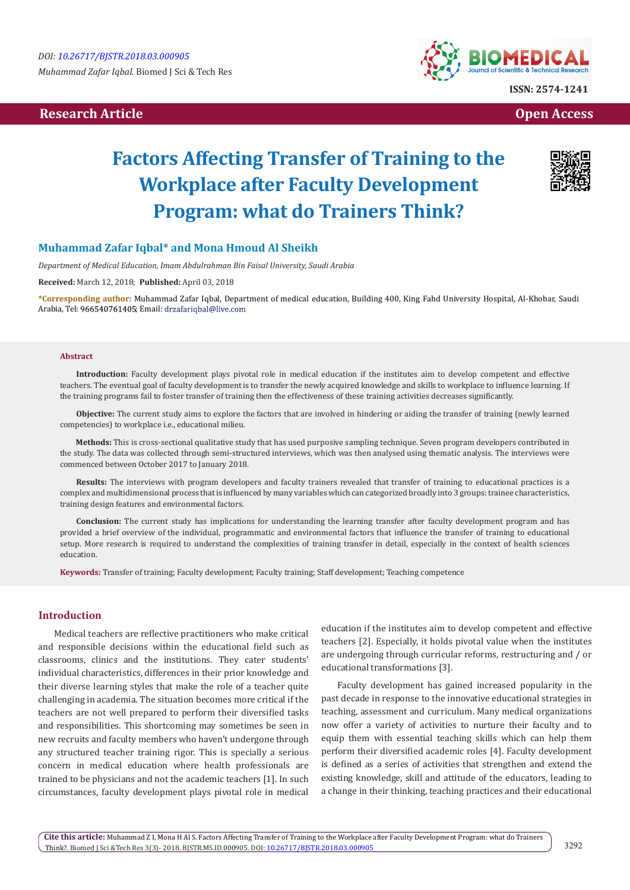*Muhammad Zafar Iqbal.* Biomed J Sci & Tech Res

# **Research Article Open Access Contract Article Open Access Open Access Open Access**



# **Factors Affecting Transfer of Training to the Workplace after Faculty Development Program: what do Trainers Think?**



# **Muhammad Zafar Iqbal\* and Mona Hmoud Al Sheikh**

*Department of Medical Education, Imam Abdulrahman Bin Faisal University, Saudi Arabia*

**Received:** March 12, 2018; **Published:** April 03, 2018

**\*Corresponding author:** Muhammad Zafar Iqbal, Department of medical education, Building 400, King Fahd University Hospital, Al-Khobar, Saudi Arabia, Tel: 966540761405; Email: drzafariqbal@live.com

#### **Abstract**

**Introduction:** Faculty development plays pivotal role in medical education if the institutes aim to develop competent and effective teachers. The eventual goal of faculty development is to transfer the newly acquired knowledge and skills to workplace to influence learning. If the training programs fail to foster transfer of training then the effectiveness of these training activities decreases significantly.

**Objective:** The current study aims to explore the factors that are involved in hindering or aiding the transfer of training (newly learned competencies) to workplace i.e., educational milieu.

**Methods:** This is cross-sectional qualitative study that has used purposive sampling technique. Seven program developers contributed in the study. The data was collected through semi-structured interviews, which was then analysed using thematic analysis. The interviews were commenced between October 2017 to January 2018.

**Results:** The interviews with program developers and faculty trainers revealed that transfer of training to educational practices is a complex and multidimensional process that is influenced by many variables which can categorized broadly into 3 groups: trainee characteristics, training design features and environmental factors.

**Conclusion:** The current study has implications for understanding the learning transfer after faculty development program and has provided a brief overview of the individual, programmatic and environmental factors that influence the transfer of training to educational setup. More research is required to understand the complexities of training transfer in detail, especially in the context of health sciences education.

**Keywords:** Transfer of training; Faculty development; Faculty training; Staff development; Teaching competence

### **Introduction**

Medical teachers are reflective practitioners who make critical and responsible decisions within the educational field such as classrooms, clinics and the institutions. They cater students' individual characteristics, differences in their prior knowledge and their diverse learning styles that make the role of a teacher quite challenging in academia. The situation becomes more critical if the teachers are not well prepared to perform their diversified tasks and responsibilities. This shortcoming may sometimes be seen in new recruits and faculty members who haven't undergone through any structured teacher training rigor. This is specially a serious concern in medical education where health professionals are trained to be physicians and not the academic teachers [1]. In such circumstances, faculty development plays pivotal role in medical

education if the institutes aim to develop competent and effective teachers [2]. Especially, it holds pivotal value when the institutes are undergoing through curricular reforms, restructuring and / or educational transformations [3].

Faculty development has gained increased popularity in the past decade in response to the innovative educational strategies in teaching, assessment and curriculum. Many medical organizations now offer a variety of activities to nurture their faculty and to equip them with essential teaching skills which can help them perform their diversified academic roles [4]. Faculty development is defined as a series of activities that strengthen and extend the existing knowledge, skill and attitude of the educators, leading to a change in their thinking, teaching practices and their educational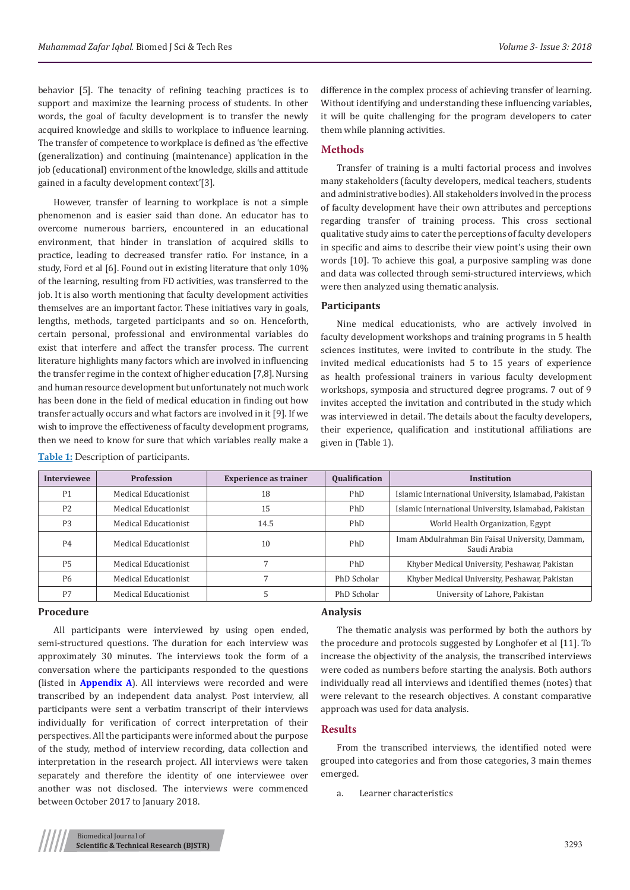behavior [5]. The tenacity of refining teaching practices is to support and maximize the learning process of students. In other words, the goal of faculty development is to transfer the newly acquired knowledge and skills to workplace to influence learning. The transfer of competence to workplace is defined as 'the effective (generalization) and continuing (maintenance) application in the job (educational) environment of the knowledge, skills and attitude gained in a faculty development context'[3].

However, transfer of learning to workplace is not a simple phenomenon and is easier said than done. An educator has to overcome numerous barriers, encountered in an educational environment, that hinder in translation of acquired skills to practice, leading to decreased transfer ratio. For instance, in a study, Ford et al [6]. Found out in existing literature that only 10% of the learning, resulting from FD activities, was transferred to the job. It is also worth mentioning that faculty development activities themselves are an important factor. These initiatives vary in goals, lengths, methods, targeted participants and so on. Henceforth, certain personal, professional and environmental variables do exist that interfere and affect the transfer process. The current literature highlights many factors which are involved in influencing the transfer regime in the context of higher education [7,8]. Nursing and human resource development but unfortunately not much work has been done in the field of medical education in finding out how transfer actually occurs and what factors are involved in it [9]. If we wish to improve the effectiveness of faculty development programs, then we need to know for sure that which variables really make a

difference in the complex process of achieving transfer of learning. Without identifying and understanding these influencing variables, it will be quite challenging for the program developers to cater them while planning activities.

# **Methods**

Transfer of training is a multi factorial process and involves many stakeholders (faculty developers, medical teachers, students and administrative bodies). All stakeholders involved in the process of faculty development have their own attributes and perceptions regarding transfer of training process. This cross sectional qualitative study aims to cater the perceptions of faculty developers in specific and aims to describe their view point's using their own words [10]. To achieve this goal, a purposive sampling was done and data was collected through semi-structured interviews, which were then analyzed using thematic analysis.

### **Participants**

Nine medical educationists, who are actively involved in faculty development workshops and training programs in 5 health sciences institutes, were invited to contribute in the study. The invited medical educationists had 5 to 15 years of experience as health professional trainers in various faculty development workshops, symposia and structured degree programs. 7 out of 9 invites accepted the invitation and contributed in the study which was interviewed in detail. The details about the faculty developers, their experience, qualification and institutional affiliations are given in (Table 1).

| <b>Interviewee</b> | <b>Profession</b>    | <b>Experience as trainer</b> | <b>Qualification</b> | <b>Institution</b>                                              |
|--------------------|----------------------|------------------------------|----------------------|-----------------------------------------------------------------|
| P <sub>1</sub>     | Medical Educationist | 18                           | PhD                  | Islamic International University, Islamabad, Pakistan           |
| P <sub>2</sub>     | Medical Educationist | 15                           | PhD                  | Islamic International University, Islamabad, Pakistan           |
| P <sub>3</sub>     | Medical Educationist | 14.5                         | PhD                  | World Health Organization, Egypt                                |
| <b>P4</b>          | Medical Educationist | 10                           | PhD                  | Imam Abdulrahman Bin Faisal University, Dammam,<br>Saudi Arabia |
| P <sub>5</sub>     | Medical Educationist |                              | PhD                  | Khyber Medical University, Peshawar, Pakistan                   |
| <b>P6</b>          | Medical Educationist |                              | PhD Scholar          | Khyber Medical University, Peshawar, Pakistan                   |
| P7                 | Medical Educationist |                              | PhD Scholar          | University of Lahore, Pakistan                                  |

#### **Procedure**

**Table 1:** Description of participants.

All participants were interviewed by using open ended, semi-structured questions. The duration for each interview was approximately 30 minutes. The interviews took the form of a conversation where the participants responded to the questions (listed in **[Appendix A](http://biomedres.us/pdfs/BJSTR.MS.ID.000905.Appendix A.pdf)**). All interviews were recorded and were transcribed by an independent data analyst. Post interview, all participants were sent a verbatim transcript of their interviews individually for verification of correct interpretation of their perspectives. All the participants were informed about the purpose of the study, method of interview recording, data collection and interpretation in the research project. All interviews were taken separately and therefore the identity of one interviewee over another was not disclosed. The interviews were commenced between October 2017 to January 2018.

# **Analysis**

The thematic analysis was performed by both the authors by the procedure and protocols suggested by Longhofer et al [11]. To increase the objectivity of the analysis, the transcribed interviews were coded as numbers before starting the analysis. Both authors individually read all interviews and identified themes (notes) that were relevant to the research objectives. A constant comparative approach was used for data analysis.

# **Results**

From the transcribed interviews, the identified noted were grouped into categories and from those categories, 3 main themes emerged.

a. Learner characteristics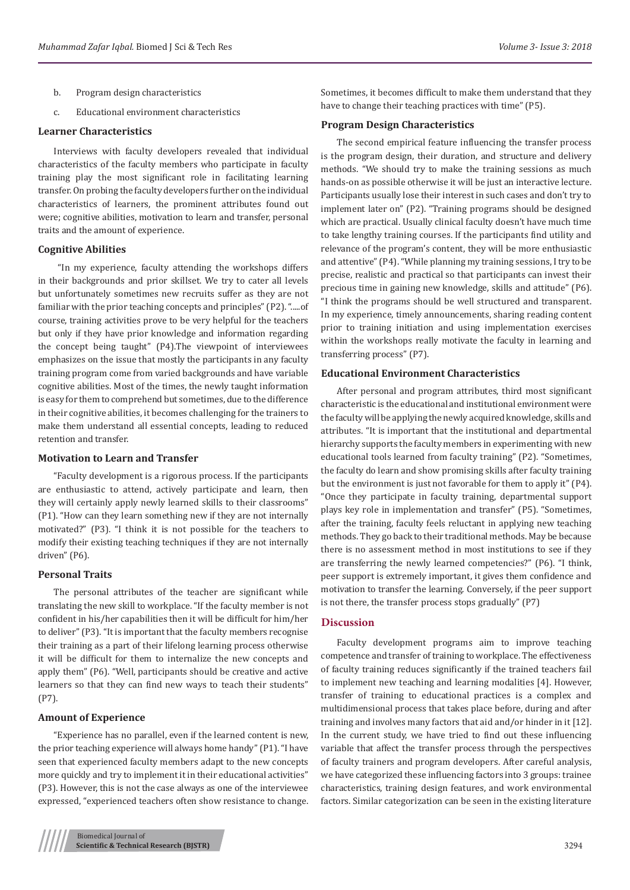- b. Program design characteristics
- c. Educational environment characteristics

#### **Learner Characteristics**

Interviews with faculty developers revealed that individual characteristics of the faculty members who participate in faculty training play the most significant role in facilitating learning transfer. On probing the faculty developers further on the individual characteristics of learners, the prominent attributes found out were; cognitive abilities, motivation to learn and transfer, personal traits and the amount of experience.

#### **Cognitive Abilities**

 "In my experience, faculty attending the workshops differs in their backgrounds and prior skillset. We try to cater all levels but unfortunately sometimes new recruits suffer as they are not familiar with the prior teaching concepts and principles" (P2). ".....of course, training activities prove to be very helpful for the teachers but only if they have prior knowledge and information regarding the concept being taught" (P4).The viewpoint of interviewees emphasizes on the issue that mostly the participants in any faculty training program come from varied backgrounds and have variable cognitive abilities. Most of the times, the newly taught information is easy for them to comprehend but sometimes, due to the difference in their cognitive abilities, it becomes challenging for the trainers to make them understand all essential concepts, leading to reduced retention and transfer.

# **Motivation to Learn and Transfer**

"Faculty development is a rigorous process. If the participants are enthusiastic to attend, actively participate and learn, then they will certainly apply newly learned skills to their classrooms" (P1). "How can they learn something new if they are not internally motivated?" (P3). "I think it is not possible for the teachers to modify their existing teaching techniques if they are not internally driven" (P6).

#### **Personal Traits**

The personal attributes of the teacher are significant while translating the new skill to workplace. "If the faculty member is not confident in his/her capabilities then it will be difficult for him/her to deliver" (P3). "It is important that the faculty members recognise their training as a part of their lifelong learning process otherwise it will be difficult for them to internalize the new concepts and apply them" (P6). "Well, participants should be creative and active learners so that they can find new ways to teach their students" (P7).

### **Amount of Experience**

"Experience has no parallel, even if the learned content is new, the prior teaching experience will always home handy" (P1). "I have seen that experienced faculty members adapt to the new concepts more quickly and try to implement it in their educational activities" (P3). However, this is not the case always as one of the interviewee expressed, "experienced teachers often show resistance to change.

Sometimes, it becomes difficult to make them understand that they have to change their teaching practices with time" (P5).

#### **Program Design Characteristics**

The second empirical feature influencing the transfer process is the program design, their duration, and structure and delivery methods. "We should try to make the training sessions as much hands-on as possible otherwise it will be just an interactive lecture. Participants usually lose their interest in such cases and don't try to implement later on" (P2). "Training programs should be designed which are practical. Usually clinical faculty doesn't have much time to take lengthy training courses. If the participants find utility and relevance of the program's content, they will be more enthusiastic and attentive" (P4). "While planning my training sessions, I try to be precise, realistic and practical so that participants can invest their precious time in gaining new knowledge, skills and attitude" (P6). "I think the programs should be well structured and transparent. In my experience, timely announcements, sharing reading content prior to training initiation and using implementation exercises within the workshops really motivate the faculty in learning and transferring process" (P7).

#### **Educational Environment Characteristics**

After personal and program attributes, third most significant characteristic is the educational and institutional environment were the faculty will be applying the newly acquired knowledge, skills and attributes. "It is important that the institutional and departmental hierarchy supports the faculty members in experimenting with new educational tools learned from faculty training" (P2). "Sometimes, the faculty do learn and show promising skills after faculty training but the environment is just not favorable for them to apply it" (P4). "Once they participate in faculty training, departmental support plays key role in implementation and transfer" (P5). "Sometimes, after the training, faculty feels reluctant in applying new teaching methods. They go back to their traditional methods. May be because there is no assessment method in most institutions to see if they are transferring the newly learned competencies?" (P6). "I think, peer support is extremely important, it gives them confidence and motivation to transfer the learning. Conversely, if the peer support is not there, the transfer process stops gradually" (P7)

#### **Discussion**

Faculty development programs aim to improve teaching competence and transfer of training to workplace. The effectiveness of faculty training reduces significantly if the trained teachers fail to implement new teaching and learning modalities [4]. However, transfer of training to educational practices is a complex and multidimensional process that takes place before, during and after training and involves many factors that aid and/or hinder in it [12]. In the current study, we have tried to find out these influencing variable that affect the transfer process through the perspectives of faculty trainers and program developers. After careful analysis, we have categorized these influencing factors into 3 groups: trainee characteristics, training design features, and work environmental factors. Similar categorization can be seen in the existing literature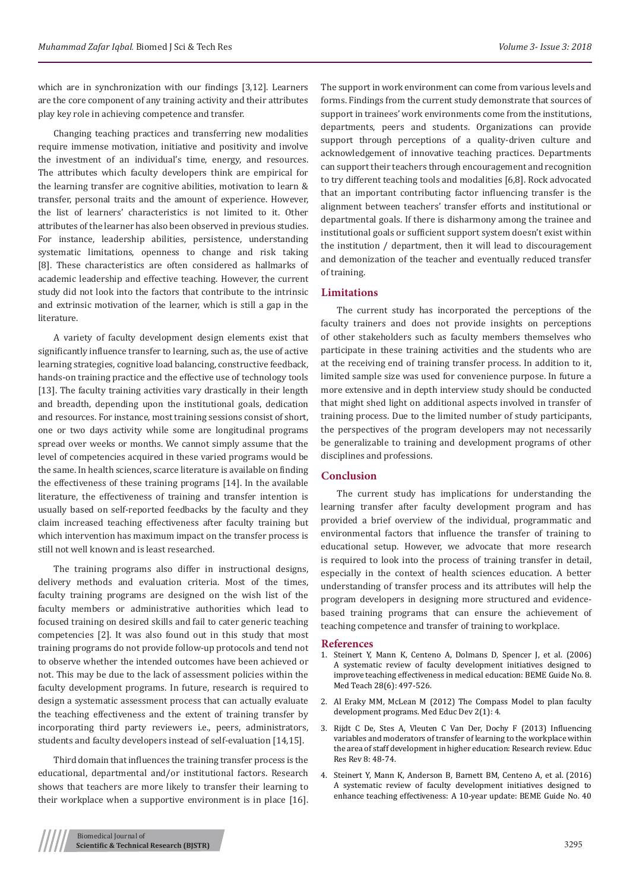which are in synchronization with our findings [3,12]. Learners are the core component of any training activity and their attributes play key role in achieving competence and transfer.

Changing teaching practices and transferring new modalities require immense motivation, initiative and positivity and involve the investment of an individual's time, energy, and resources. The attributes which faculty developers think are empirical for the learning transfer are cognitive abilities, motivation to learn & transfer, personal traits and the amount of experience. However, the list of learners' characteristics is not limited to it. Other attributes of the learner has also been observed in previous studies. For instance, leadership abilities, persistence, understanding systematic limitations, openness to change and risk taking [8]. These characteristics are often considered as hallmarks of academic leadership and effective teaching. However, the current study did not look into the factors that contribute to the intrinsic and extrinsic motivation of the learner, which is still a gap in the literature.

A variety of faculty development design elements exist that significantly influence transfer to learning, such as, the use of active learning strategies, cognitive load balancing, constructive feedback, hands-on training practice and the effective use of technology tools [13]. The faculty training activities vary drastically in their length and breadth, depending upon the institutional goals, dedication and resources. For instance, most training sessions consist of short, one or two days activity while some are longitudinal programs spread over weeks or months. We cannot simply assume that the level of competencies acquired in these varied programs would be the same. In health sciences, scarce literature is available on finding the effectiveness of these training programs [14]. In the available literature, the effectiveness of training and transfer intention is usually based on self-reported feedbacks by the faculty and they claim increased teaching effectiveness after faculty training but which intervention has maximum impact on the transfer process is still not well known and is least researched.

The training programs also differ in instructional designs, delivery methods and evaluation criteria. Most of the times, faculty training programs are designed on the wish list of the faculty members or administrative authorities which lead to focused training on desired skills and fail to cater generic teaching competencies [2]. It was also found out in this study that most training programs do not provide follow-up protocols and tend not to observe whether the intended outcomes have been achieved or not. This may be due to the lack of assessment policies within the faculty development programs. In future, research is required to design a systematic assessment process that can actually evaluate the teaching effectiveness and the extent of training transfer by incorporating third party reviewers i.e., peers, administrators, students and faculty developers instead of self-evaluation [14,15].

Third domain that influences the training transfer process is the educational, departmental and/or institutional factors. Research shows that teachers are more likely to transfer their learning to their workplace when a supportive environment is in place [16]. The support in work environment can come from various levels and forms. Findings from the current study demonstrate that sources of support in trainees' work environments come from the institutions, departments, peers and students. Organizations can provide support through perceptions of a quality-driven culture and acknowledgement of innovative teaching practices. Departments can support their teachers through encouragement and recognition to try different teaching tools and modalities [6,8]. Rock advocated that an important contributing factor influencing transfer is the alignment between teachers' transfer efforts and institutional or departmental goals. If there is disharmony among the trainee and institutional goals or sufficient support system doesn't exist within the institution / department, then it will lead to discouragement and demonization of the teacher and eventually reduced transfer of training.

#### **Limitations**

The current study has incorporated the perceptions of the faculty trainers and does not provide insights on perceptions of other stakeholders such as faculty members themselves who participate in these training activities and the students who are at the receiving end of training transfer process. In addition to it, limited sample size was used for convenience purpose. In future a more extensive and in depth interview study should be conducted that might shed light on additional aspects involved in transfer of training process. Due to the limited number of study participants, the perspectives of the program developers may not necessarily be generalizable to training and development programs of other disciplines and professions.

#### **Conclusion**

The current study has implications for understanding the learning transfer after faculty development program and has provided a brief overview of the individual, programmatic and environmental factors that influence the transfer of training to educational setup. However, we advocate that more research is required to look into the process of training transfer in detail, especially in the context of health sciences education. A better understanding of transfer process and its attributes will help the program developers in designing more structured and evidencebased training programs that can ensure the achievement of teaching competence and transfer of training to workplace.

#### **References**

- 1. [Steinert Y, Mann K, Centeno A, Dolmans D, Spencer J, et al. \(2006\)](https://www.ncbi.nlm.nih.gov/pubmed/17074699) [A systematic review of faculty development initiatives designed to](https://www.ncbi.nlm.nih.gov/pubmed/17074699) [improve teaching effectiveness in medical education: BEME Guide No. 8.](https://www.ncbi.nlm.nih.gov/pubmed/17074699) [Med Teach 28\(6\): 497-526.](https://www.ncbi.nlm.nih.gov/pubmed/17074699)
- 2. [Al Eraky MM, McLean M \(2012\) The Compass Model to plan faculty](https://www.researchgate.net/publication/248391702_The_Compass_Model_to_plan_faculty_development_programs) [development programs. Med Educ Dev 2\(1\): 4.](https://www.researchgate.net/publication/248391702_The_Compass_Model_to_plan_faculty_development_programs)
- 3. [Rijdt C De, Stes A, Vleuten C Van Der, Dochy F \(2013\) Influencing](https://www.sciencedirect.com/science/article/pii/S1747938X12000450) [variables and moderators of transfer of learning to the workplace within](https://www.sciencedirect.com/science/article/pii/S1747938X12000450) [the area of staff development in higher education: Research review. Educ](https://www.sciencedirect.com/science/article/pii/S1747938X12000450) [Res Rev 8: 48-74.](https://www.sciencedirect.com/science/article/pii/S1747938X12000450)
- 4. [Steinert Y, Mann K, Anderson B, Barnett BM, Centeno A, et al. \(2016\)](https://www.ncbi.nlm.nih.gov/pubmed/27420193) [A systematic review of faculty development initiatives designed to](https://www.ncbi.nlm.nih.gov/pubmed/27420193) [enhance teaching effectiveness: A 10-year update: BEME Guide No. 40](https://www.ncbi.nlm.nih.gov/pubmed/27420193)